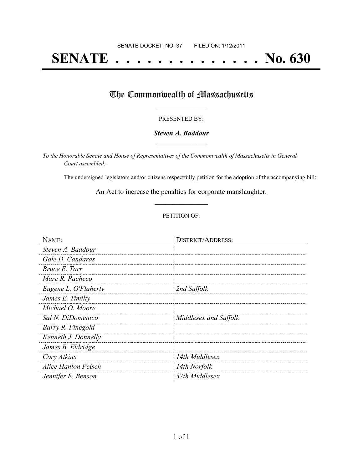# **SENATE . . . . . . . . . . . . . . No. 630**

## The Commonwealth of Massachusetts

#### PRESENTED BY:

#### *Steven A. Baddour* **\_\_\_\_\_\_\_\_\_\_\_\_\_\_\_\_\_**

*To the Honorable Senate and House of Representatives of the Commonwealth of Massachusetts in General Court assembled:*

The undersigned legislators and/or citizens respectfully petition for the adoption of the accompanying bill:

An Act to increase the penalties for corporate manslaughter. **\_\_\_\_\_\_\_\_\_\_\_\_\_\_\_**

#### PETITION OF:

| NAME:                | <b>DISTRICT/ADDRESS:</b> |
|----------------------|--------------------------|
| Steven A. Baddour    |                          |
| Gale D. Candaras     |                          |
| Bruce E. Tarr        |                          |
| Marc R. Pacheco      |                          |
| Eugene L. O'Flaherty | 2nd Suffolk              |
| James E. Timilty     |                          |
| Michael O. Moore     |                          |
| Sal N. DiDomenico    | Middlesex and Suffolk    |
| Barry R. Finegold    |                          |
| Kenneth J. Donnelly  |                          |
| James B. Eldridge    |                          |
| Cory Atkins          | 14th Middlesex           |
| Alice Hanlon Peisch  | 14th Norfolk             |
| Jennifer E. Benson   | 37th Middlesex           |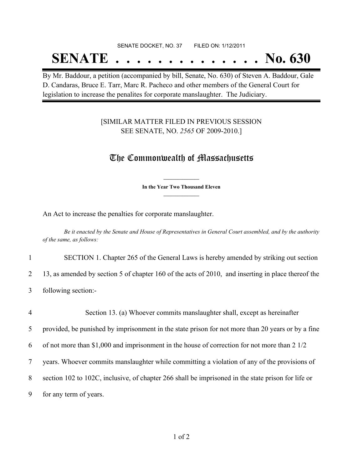#### SENATE DOCKET, NO. 37 FILED ON: 1/12/2011

## **SENATE . . . . . . . . . . . . . . No. 630**

By Mr. Baddour, a petition (accompanied by bill, Senate, No. 630) of Steven A. Baddour, Gale D. Candaras, Bruce E. Tarr, Marc R. Pacheco and other members of the General Court for legislation to increase the penalites for corporate manslaughter. The Judiciary.

### [SIMILAR MATTER FILED IN PREVIOUS SESSION SEE SENATE, NO. *2565* OF 2009-2010.]

### The Commonwealth of Massachusetts

**\_\_\_\_\_\_\_\_\_\_\_\_\_\_\_ In the Year Two Thousand Eleven \_\_\_\_\_\_\_\_\_\_\_\_\_\_\_**

An Act to increase the penalties for corporate manslaughter.

Be it enacted by the Senate and House of Representatives in General Court assembled, and by the authority *of the same, as follows:*

1 SECTION 1. Chapter 265 of the General Laws is hereby amended by striking out section

2 13, as amended by section 5 of chapter 160 of the acts of 2010, and inserting in place thereof the

3 following section:-

| $\overline{4}$ | Section 13. (a) Whoever commits manslaughter shall, except as hereinafter                             |
|----------------|-------------------------------------------------------------------------------------------------------|
| 5              | provided, be punished by imprisonment in the state prison for not more than 20 years or by a fine     |
| 6              | of not more than \$1,000 and imprisonment in the house of correction for not more than $2\frac{1}{2}$ |
| 7              | years. Whoever commits manslaughter while committing a violation of any of the provisions of          |
| 8              | section 102 to 102C, inclusive, of chapter 266 shall be imprisoned in the state prison for life or    |
| 9              | for any term of years.                                                                                |